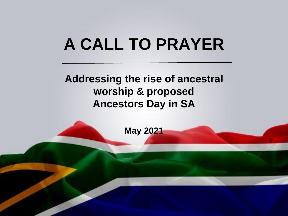# **A CALL TO PRAYER**

### **Addressing the rise of ancestral worship & proposed Ancestors Day in SA**

**May 2021**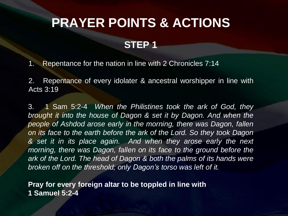### **PRAYER POINTS & ACTIONS**

#### **STEP 1**

1. Repentance for the nation in line with 2 Chronicles 7:14

2. Repentance of every idolater & ancestral worshipper in line with Acts 3:19

3. 1 Sam 5:2-4 *When the Philistines took the ark of God, they brought it into the house of Dagon & set it by Dagon. And when the people of Ashdod arose early in the morning, there was Dagon, fallen on its face to the earth before the ark of the Lord. So they took Dagon & set it in its place again. And when they arose early the next morning, there was Dagon, fallen on its face to the ground before the ark of the Lord. The head of Dagon & both the palms of its hands were broken off on the threshold; only Dagon's torso was left of it.*

**Pray for every foreign altar to be toppled in line with 1 Samuel 5:2-4**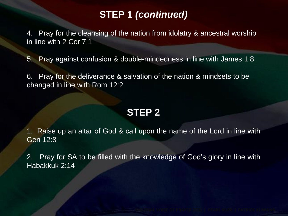#### **STEP 1** *(continued)*

4. Pray for the cleansing of the nation from idolatry & ancestral worship in line with 2 Cor 7:1

5. Pray against confusion & double-mindedness in line with James 1:8

6. Pray for the deliverance & salvation of the nation & mindsets to be changed in line with Rom 12:2

#### **STEP 2**

1. Raise up an altar of God & call upon the name of the Lord in line with Gen 12:8

2. Pray for SA to be filled with the knowledge of God's glory in line with Habakkuk 2:14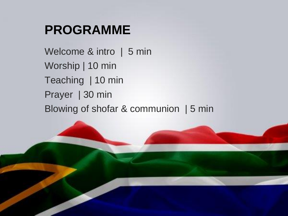### **PROGRAMME**

Welcome & intro | 5 min Worship | 10 min Teaching | 10 min Prayer | 30 min Blowing of shofar & communion | 5 min